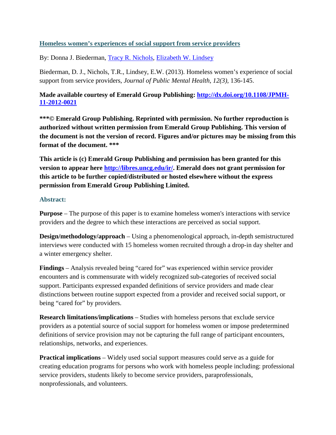## **Homeless women's experiences of social support from service providers**

By: Donna J. Biederman, [Tracy R. Nichols,](http://libres.uncg.edu/ir/uncg/clist.aspx?id=1504) [Elizabeth W. Lindsey](http://libres.uncg.edu/ir/uncg/clist.aspx?id=1286)

Biederman, D. J., Nichols, T.R., Lindsey, E.W. (2013). Homeless women's experience of social support from service providers, *Journal of Public Mental Health*, *12(3),* 136-145.

# **Made available courtesy of Emerald Group Publishing: [http://dx.doi.org/10.1108/JPMH-](http://dx.doi.org/10.1108/JPMH-11-2012-0021)[11-2012-0021](http://dx.doi.org/10.1108/JPMH-11-2012-0021)**

**\*\*\*© Emerald Group Publishing. Reprinted with permission. No further reproduction is authorized without written permission from Emerald Group Publishing. This version of the document is not the version of record. Figures and/or pictures may be missing from this format of the document. \*\*\***

**This article is (c) Emerald Group Publishing and permission has been granted for this version to appear here [http://libres.uncg.edu/ir/.](http://libres.uncg.edu/ir/) Emerald does not grant permission for this article to be further copied/distributed or hosted elsewhere without the express permission from Emerald Group Publishing Limited.**

### **Abstract:**

**Purpose** – The purpose of this paper is to examine homeless women's interactions with service providers and the degree to which these interactions are perceived as social support.

**Design/methodology/approach** – Using a phenomenological approach, in-depth semistructured interviews were conducted with 15 homeless women recruited through a drop-in day shelter and a winter emergency shelter.

**Findings** – Analysis revealed being "cared for" was experienced within service provider encounters and is commensurate with widely recognized sub-categories of received social support. Participants expressed expanded definitions of service providers and made clear distinctions between routine support expected from a provider and received social support, or being "cared for" by providers.

**Research limitations/implications** – Studies with homeless persons that exclude service providers as a potential source of social support for homeless women or impose predetermined definitions of service provision may not be capturing the full range of participant encounters, relationships, networks, and experiences.

**Practical implications** – Widely used social support measures could serve as a guide for creating education programs for persons who work with homeless people including: professional service providers, students likely to become service providers, paraprofessionals, nonprofessionals, and volunteers.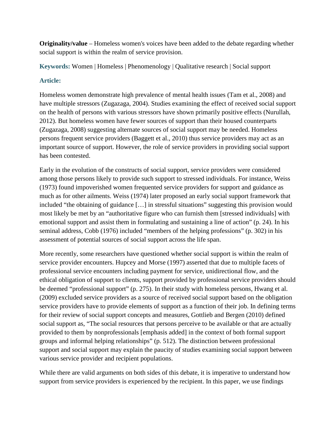**Originality/value** – Homeless women's voices have been added to the debate regarding whether social support is within the realm of service provision.

**Keywords:** Women | Homeless | Phenomenology | Qualitative research | Social support

# **Article:**

Homeless women demonstrate high prevalence of mental health issues (Tam et al., 2008) and have multiple stressors (Zugazaga, 2004). Studies examining the effect of received social support on the health of persons with various stressors have shown primarily positive effects (Nurullah, 2012). But homeless women have fewer sources of support than their housed counterparts (Zugazaga, 2008) suggesting alternate sources of social support may be needed. Homeless persons frequent service providers (Baggett et al., 2010) thus service providers may act as an important source of support. However, the role of service providers in providing social support has been contested.

Early in the evolution of the constructs of social support, service providers were considered among those persons likely to provide such support to stressed individuals. For instance, Weiss (1973) found impoverished women frequented service providers for support and guidance as much as for other ailments. Weiss (1974) later proposed an early social support framework that included "the obtaining of guidance […] in stressful situations" suggesting this provision would most likely be met by an "authoritative figure who can furnish them [stressed individuals] with emotional support and assist them in formulating and sustaining a line of action" (p. 24). In his seminal address, Cobb (1976) included "members of the helping professions" (p. 302) in his assessment of potential sources of social support across the life span.

More recently, some researchers have questioned whether social support is within the realm of service provider encounters. Hupcey and Morse (1997) asserted that due to multiple facets of professional service encounters including payment for service, unidirectional flow, and the ethical obligation of support to clients, support provided by professional service providers should be deemed "professional support" (p. 275). In their study with homeless persons, Hwang et al. (2009) excluded service providers as a source of received social support based on the obligation service providers have to provide elements of support as a function of their job. In defining terms for their review of social support concepts and measures, Gottlieb and Bergen (2010) defined social support as, "The social resources that persons perceive to be available or that are actually provided to them by nonprofessionals [emphasis added] in the context of both formal support groups and informal helping relationships" (p. 512). The distinction between professional support and social support may explain the paucity of studies examining social support between various service provider and recipient populations.

While there are valid arguments on both sides of this debate, it is imperative to understand how support from service providers is experienced by the recipient. In this paper, we use findings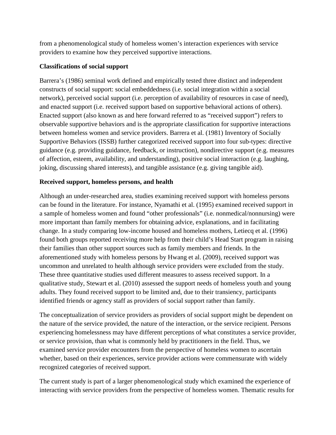from a phenomenological study of homeless women's interaction experiences with service providers to examine how they perceived supportive interactions.

### **Classifications of social support**

Barrera's (1986) seminal work defined and empirically tested three distinct and independent constructs of social support: social embeddedness (i.e. social integration within a social network), perceived social support (i.e. perception of availability of resources in case of need), and enacted support (i.e. received support based on supportive behavioral actions of others). Enacted support (also known as and here forward referred to as "received support") refers to observable supportive behaviors and is the appropriate classification for supportive interactions between homeless women and service providers. Barrera et al. (1981) Inventory of Socially Supportive Behaviors (ISSB) further categorized received support into four sub-types: directive guidance (e.g. providing guidance, feedback, or instruction), nondirective support (e.g. measures of affection, esteem, availability, and understanding), positive social interaction (e.g. laughing, joking, discussing shared interests), and tangible assistance (e.g. giving tangible aid).

#### **Received support, homeless persons, and health**

Although an under-researched area, studies examining received support with homeless persons can be found in the literature. For instance, Nyamathi et al. (1995) examined received support in a sample of homeless women and found "other professionals" (i.e. nonmedical/nonnursing) were more important than family members for obtaining advice, explanations, and in facilitating change. In a study comparing low-income housed and homeless mothers, Letiecq et al. (1996) found both groups reported receiving more help from their child's Head Start program in raising their families than other support sources such as family members and friends. In the aforementioned study with homeless persons by Hwang et al. (2009), received support was uncommon and unrelated to health although service providers were excluded from the study. These three quantitative studies used different measures to assess received support. In a qualitative study, Stewart et al. (2010) assessed the support needs of homeless youth and young adults. They found received support to be limited and, due to their transiency, participants identified friends or agency staff as providers of social support rather than family.

The conceptualization of service providers as providers of social support might be dependent on the nature of the service provided, the nature of the interaction, or the service recipient. Persons experiencing homelessness may have different perceptions of what constitutes a service provider, or service provision, than what is commonly held by practitioners in the field. Thus, we examined service provider encounters from the perspective of homeless women to ascertain whether, based on their experiences, service provider actions were commensurate with widely recognized categories of received support.

The current study is part of a larger phenomenological study which examined the experience of interacting with service providers from the perspective of homeless women. Thematic results for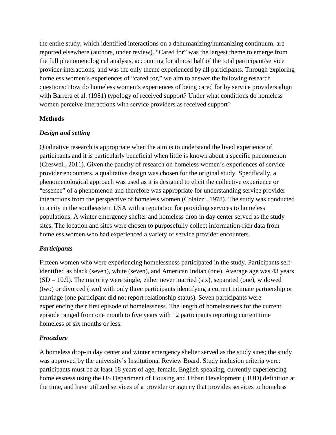the entire study, which identified interactions on a dehumanizing/humanizing continuum, are reported elsewhere (authors, under review). "Cared for" was the largest theme to emerge from the full phenomenological analysis, accounting for almost half of the total participant/service provider interactions, and was the only theme experienced by all participants. Through exploring homeless women's experiences of "cared for," we aim to answer the following research questions: How do homeless women's experiences of being cared for by service providers align with Barrera et al. (1981) typology of received support? Under what conditions do homeless women perceive interactions with service providers as received support?

### **Methods**

### *Design and setting*

Qualitative research is appropriate when the aim is to understand the lived experience of participants and it is particularly beneficial when little is known about a specific phenomenon (Creswell, 2011). Given the paucity of research on homeless women's experiences of service provider encounters, a qualitative design was chosen for the original study. Specifically, a phenomenological approach was used as it is designed to elicit the collective experience or "essence" of a phenomenon and therefore was appropriate for understanding service provider interactions from the perspective of homeless women (Colaizzi, 1978). The study was conducted in a city in the southeastern USA with a reputation for providing services to homeless populations. A winter emergency shelter and homeless drop in day center served as the study sites. The location and sites were chosen to purposefully collect information-rich data from homeless women who had experienced a variety of service provider encounters.

#### *Participants*

Fifteen women who were experiencing homelessness participated in the study. Participants selfidentified as black (seven), white (seven), and American Indian (one). Average age was 43 years  $(SD = 10.9)$ . The majority were single, either never married (six), separated (one), widowed (two) or divorced (two) with only three participants identifying a current intimate partnership or marriage (one participant did not report relationship status). Seven participants were experiencing their first episode of homelessness. The length of homelessness for the current episode ranged from one month to five years with 12 participants reporting current time homeless of six months or less.

### *Procedure*

A homeless drop-in day center and winter emergency shelter served as the study sites; the study was approved by the university's Institutional Review Board. Study inclusion criteria were: participants must be at least 18 years of age, female, English speaking, currently experiencing homelessness using the US Department of Housing and Urban Development (HUD) definition at the time, and have utilized services of a provider or agency that provides services to homeless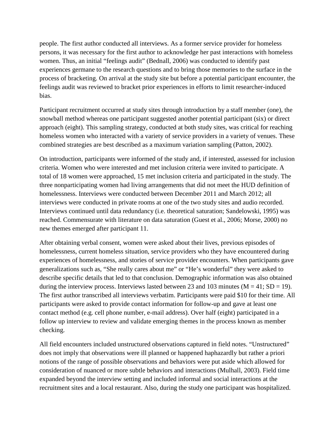people. The first author conducted all interviews. As a former service provider for homeless persons, it was necessary for the first author to acknowledge her past interactions with homeless women. Thus, an initial "feelings audit" (Bednall, 2006) was conducted to identify past experiences germane to the research questions and to bring those memories to the surface in the process of bracketing. On arrival at the study site but before a potential participant encounter, the feelings audit was reviewed to bracket prior experiences in efforts to limit researcher-induced bias.

Participant recruitment occurred at study sites through introduction by a staff member (one), the snowball method whereas one participant suggested another potential participant (six) or direct approach (eight). This sampling strategy, conducted at both study sites, was critical for reaching homeless women who interacted with a variety of service providers in a variety of venues. These combined strategies are best described as a maximum variation sampling (Patton, 2002).

On introduction, participants were informed of the study and, if interested, assessed for inclusion criteria. Women who were interested and met inclusion criteria were invited to participate. A total of 18 women were approached, 15 met inclusion criteria and participated in the study. The three nonparticipating women had living arrangements that did not meet the HUD definition of homelessness. Interviews were conducted between December 2011 and March 2012; all interviews were conducted in private rooms at one of the two study sites and audio recorded. Interviews continued until data redundancy (i.e. theoretical saturation; Sandelowski, 1995) was reached. Commensurate with literature on data saturation (Guest et al., 2006; Morse, 2000) no new themes emerged after participant 11.

After obtaining verbal consent, women were asked about their lives, previous episodes of homelessness, current homeless situation, service providers who they have encountered during experiences of homelessness, and stories of service provider encounters. When participants gave generalizations such as, "She really cares about me" or "He's wonderful" they were asked to describe specific details that led to that conclusion. Demographic information was also obtained during the interview process. Interviews lasted between 23 and 103 minutes ( $M = 41$ ;  $SD = 19$ ). The first author transcribed all interviews verbatim. Participants were paid \$10 for their time. All participants were asked to provide contact information for follow-up and gave at least one contact method (e.g. cell phone number, e-mail address). Over half (eight) participated in a follow up interview to review and validate emerging themes in the process known as member checking.

All field encounters included unstructured observations captured in field notes. "Unstructured" does not imply that observations were ill planned or happened haphazardly but rather a priori notions of the range of possible observations and behaviors were put aside which allowed for consideration of nuanced or more subtle behaviors and interactions (Mulhall, 2003). Field time expanded beyond the interview setting and included informal and social interactions at the recruitment sites and a local restaurant. Also, during the study one participant was hospitalized.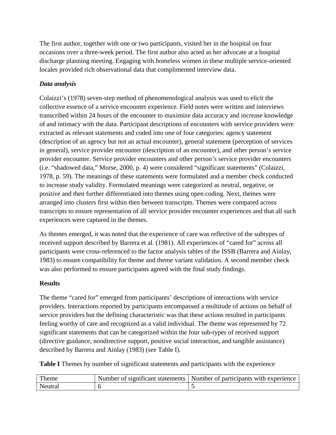The first author, together with one or two participants, visited her in the hospital on four occasions over a three-week period. The first author also acted as her advocate at a hospital discharge planning meeting. Engaging with homeless women in these multiple service-oriented locales provided rich observational data that complimented interview data.

# *Data analysis*

Colaizzi's (1978) seven-step method of phenomenological analysis was used to elicit the collective essence of a service encounter experience. Field notes were written and interviews transcribed within 24 hours of the encounter to maximize data accuracy and increase knowledge of and intimacy with the data. Participant descriptions of encounters with service providers were extracted as relevant statements and coded into one of four categories: agency statement (description of an agency but not an actual encounter), general statement (perception of services in general), service provider encounter (description of an encounter), and other person's service provider encounter. Service provider encounters and other person's service provider encounters (i.e. "shadowed data," Morse, 2000, p. 4) were considered "significant statements" (Colaizzi, 1978, p. 59). The meanings of these statements were formulated and a member check conducted to increase study validity. Formulated meanings were categorized as neutral, negative, or positive and then further differentiated into themes using open coding. Next, themes were arranged into clusters first within then between transcripts. Themes were compared across transcripts to ensure representation of all service provider encounter experiences and that all such experiences were captured in the themes.

As themes emerged, it was noted that the experience of care was reflective of the subtypes of received support described by Barrera et al. (1981). All experiences of "cared for" across all participants were cross-referenced to the factor analysis tables of the ISSB (Barrera and Ainlay, 1983) to ensure compatibility for theme and theme variant validation. A second member check was also performed to ensure participants agreed with the final study findings.

### **Results**

The theme "cared for" emerged from participants' descriptions of interactions with service providers. Interactions reported by participants encompassed a multitude of actions on behalf of service providers but the defining characteristic was that these actions resulted in participants feeling worthy of care and recognized as a valid individual. The theme was represented by 72 significant statements that can be categorized within the four sub-types of received support (directive guidance, nondirective support, positive social interaction, and tangible assistance) described by Barrera and Ainlay (1983) (see Table I).

**Table I** Themes by number of significant statements and participants with the experience

| Theme | . .<br>Number of significant statements. | Number of participants with experience |
|-------|------------------------------------------|----------------------------------------|
|       |                                          |                                        |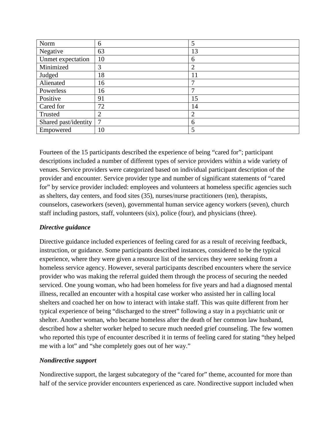| Norm                 | 6              | 5              |
|----------------------|----------------|----------------|
| Negative             | 63             | 13             |
| Unmet expectation    | 10             | 6              |
| Minimized            | 3              | $\overline{2}$ |
| Judged               | 18             | 11             |
| Alienated            | 16             | ┑              |
| Powerless            | 16             | ┑              |
| Positive             | 91             | 15             |
| Cared for            | 72             | 14             |
| Trusted              | $\overline{2}$ | $\overline{2}$ |
| Shared past/identity | $\mathcal{I}$  | 6              |
| Empowered            | 10             | 5              |

Fourteen of the 15 participants described the experience of being "cared for"; participant descriptions included a number of different types of service providers within a wide variety of venues. Service providers were categorized based on individual participant description of the provider and encounter. Service provider type and number of significant statements of "cared for" by service provider included: employees and volunteers at homeless specific agencies such as shelters, day centers, and food sites (35), nurses/nurse practitioners (ten), therapists, counselors, caseworkers (seven), governmental human service agency workers (seven), church staff including pastors, staff, volunteers (six), police (four), and physicians (three).

### *Directive guidance*

Directive guidance included experiences of feeling cared for as a result of receiving feedback, instruction, or guidance. Some participants described instances, considered to be the typical experience, where they were given a resource list of the services they were seeking from a homeless service agency. However, several participants described encounters where the service provider who was making the referral guided them through the process of securing the needed serviced. One young woman, who had been homeless for five years and had a diagnosed mental illness, recalled an encounter with a hospital case worker who assisted her in calling local shelters and coached her on how to interact with intake staff. This was quite different from her typical experience of being "discharged to the street" following a stay in a psychiatric unit or shelter. Another woman, who became homeless after the death of her common law husband, described how a shelter worker helped to secure much needed grief counseling. The few women who reported this type of encounter described it in terms of feeling cared for stating "they helped me with a lot" and "she completely goes out of her way."

# *Nondirective support*

Nondirective support, the largest subcategory of the "cared for" theme, accounted for more than half of the service provider encounters experienced as care. Nondirective support included when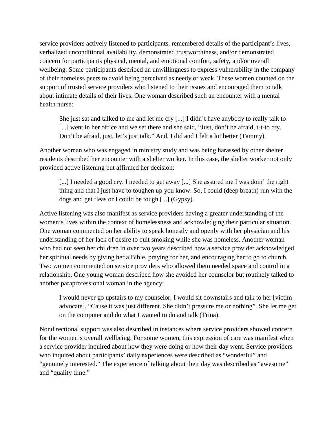service providers actively listened to participants, remembered details of the participant's lives, verbalized unconditional availability, demonstrated trustworthiness, and/or demonstrated concern for participants physical, mental, and emotional comfort, safety, and/or overall wellbeing. Some participants described an unwillingness to express vulnerability in the company of their homeless peers to avoid being perceived as needy or weak. These women counted on the support of trusted service providers who listened to their issues and encouraged them to talk about intimate details of their lives. One woman described such an encounter with a mental health nurse:

She just sat and talked to me and let me cry [...] I didn't have anybody to really talk to [...] went in her office and we set there and she said, "Just, don't be afraid, t-t-to cry. Don't be afraid, just, let's just talk." And, I did and I felt a lot better (Tammy).

Another woman who was engaged in ministry study and was being harassed by other shelter residents described her encounter with a shelter worker. In this case, the shelter worker not only provided active listening but affirmed her decision:

[...] I needed a good cry. I needed to get away [...] She assured me I was doin' the right thing and that I just have to toughen up you know. So, I could (deep breath) run with the dogs and get fleas or I could be tough [...] (Gypsy).

Active listening was also manifest as service providers having a greater understanding of the women's lives within the context of homelessness and acknowledging their particular situation. One woman commented on her ability to speak honestly and openly with her physician and his understanding of her lack of desire to quit smoking while she was homeless. Another woman who had not seen her children in over two years described how a service provider acknowledged her spiritual needs by giving her a Bible, praying for her, and encouraging her to go to church. Two women commented on service providers who allowed them needed space and control in a relationship. One young woman described how she avoided her counselor but routinely talked to another paraprofessional woman in the agency:

I would never go upstairs to my counselor, I would sit downstairs and talk to her [victim advocate]. "Cause it was just different. She didn't pressure me or nothing". She let me get on the computer and do what I wanted to do and talk (Trina).

Nondirectional support was also described in instances where service providers showed concern for the women's overall wellbeing. For some women, this expression of care was manifest when a service provider inquired about how they were doing or how their day went. Service providers who inquired about participants' daily experiences were described as "wonderful" and "genuinely interested." The experience of talking about their day was described as "awesome" and "quality time."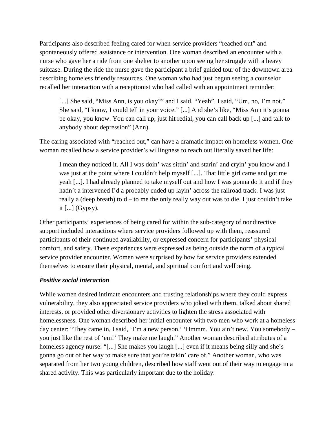Participants also described feeling cared for when service providers "reached out" and spontaneously offered assistance or intervention. One woman described an encounter with a nurse who gave her a ride from one shelter to another upon seeing her struggle with a heavy suitcase. During the ride the nurse gave the participant a brief guided tour of the downtown area describing homeless friendly resources. One woman who had just begun seeing a counselor recalled her interaction with a receptionist who had called with an appointment reminder:

[...] She said, "Miss Ann, is you okay?" and I said, "Yeah". I said, "Um, no, I'm not." She said, "I know, I could tell in your voice." [...] And she's like, "Miss Ann it's gonna be okay, you know. You can call up, just hit redial, you can call back up [...] and talk to anybody about depression" (Ann).

The caring associated with "reached out," can have a dramatic impact on homeless women. One woman recalled how a service provider's willingness to reach out literally saved her life:

I mean they noticed it. All I was doin' was sittin' and starin' and cryin' you know and I was just at the point where I couldn't help myself [...]. That little girl came and got me yeah [...]. I had already planned to take myself out and how I was gonna do it and if they hadn't a intervened I'd a probably ended up layin' across the railroad track. I was just really a (deep breath) to  $d - t$  one the only really way out was to die. I just couldn't take it [...] (Gypsy).

Other participants' experiences of being cared for within the sub-category of nondirective support included interactions where service providers followed up with them, reassured participants of their continued availability, or expressed concern for participants' physical comfort, and safety. These experiences were expressed as being outside the norm of a typical service provider encounter. Women were surprised by how far service providers extended themselves to ensure their physical, mental, and spiritual comfort and wellbeing.

#### *Positive social interaction*

While women desired intimate encounters and trusting relationships where they could express vulnerability, they also appreciated service providers who joked with them, talked about shared interests, or provided other diversionary activities to lighten the stress associated with homelessness. One woman described her initial encounter with two men who work at a homeless day center: "They came in, I said, 'I'm a new person.' 'Hmmm. You ain't new. You somebody – you just like the rest of 'em!' They make me laugh." Another woman described attributes of a homeless agency nurse: "[...] She makes you laugh [...] even if it means being silly and she's gonna go out of her way to make sure that you're takin' care of." Another woman, who was separated from her two young children, described how staff went out of their way to engage in a shared activity. This was particularly important due to the holiday: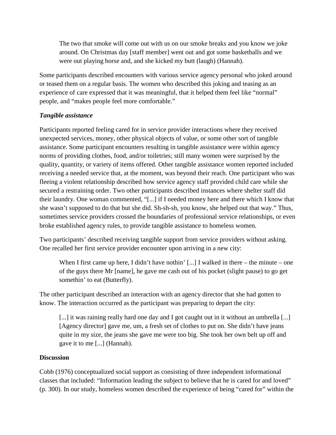The two that smoke will come out with us on our smoke breaks and you know we joke around. On Christmas day [staff member] went out and got some basketballs and we were out playing horse and, and she kicked my butt (laugh) (Hannah).

Some participants described encounters with various service agency personal who joked around or teased them on a regular basis. The women who described this joking and teasing as an experience of care expressed that it was meaningful, that it helped them feel like "normal" people, and "makes people feel more comfortable."

# *Tangible assistance*

Participants reported feeling cared for in service provider interactions where they received unexpected services, money, other physical objects of value, or some other sort of tangible assistance. Some participant encounters resulting in tangible assistance were within agency norms of providing clothes, food, and/or toiletries; still many women were surprised by the quality, quantity, or variety of items offered. Other tangible assistance women reported included receiving a needed service that, at the moment, was beyond their reach. One participant who was fleeing a violent relationship described how service agency staff provided child care while she secured a restraining order. Two other participants described instances where shelter staff did their laundry. One woman commented, "[...] if I needed money here and there which I know that she wasn't supposed to do that but she did. Sh-sh-sh, you know, she helped out that way." Thus, sometimes service providers crossed the boundaries of professional service relationships, or even broke established agency rules, to provide tangible assistance to homeless women.

Two participants' described receiving tangible support from service providers without asking. One recalled her first service provider encounter upon arriving in a new city:

When I first came up here, I didn't have nothin' [...] I walked in there – the minute – one of the guys there Mr [name], he gave me cash out of his pocket (slight pause) to go get somethin' to eat (Butterfly).

The other participant described an interaction with an agency director that she had gotten to know. The interaction occurred as the participant was preparing to depart the city:

[...] it was raining really hard one day and I got caught out in it without an umbrella [...] [Agency director] gave me, um, a fresh set of clothes to put on. She didn't have jeans quite in my size, the jeans she gave me were too big. She took her own belt up off and gave it to me [...] (Hannah).

### **Discussion**

Cobb (1976) conceptualized social support as consisting of three independent informational classes that included: "Information leading the subject to believe that he is cared for and loved" (p. 300). In our study, homeless women described the experience of being "cared for" within the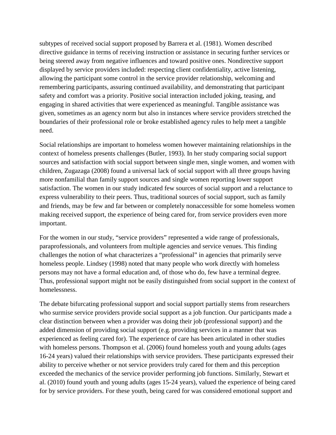subtypes of received social support proposed by Barrera et al. (1981). Women described directive guidance in terms of receiving instruction or assistance in securing further services or being steered away from negative influences and toward positive ones. Nondirective support displayed by service providers included: respecting client confidentiality, active listening, allowing the participant some control in the service provider relationship, welcoming and remembering participants, assuring continued availability, and demonstrating that participant safety and comfort was a priority. Positive social interaction included joking, teasing, and engaging in shared activities that were experienced as meaningful. Tangible assistance was given, sometimes as an agency norm but also in instances where service providers stretched the boundaries of their professional role or broke established agency rules to help meet a tangible need.

Social relationships are important to homeless women however maintaining relationships in the context of homeless presents challenges (Butler, 1993). In her study comparing social support sources and satisfaction with social support between single men, single women, and women with children, Zugazaga (2008) found a universal lack of social support with all three groups having more nonfamilial than family support sources and single women reporting lower support satisfaction. The women in our study indicated few sources of social support and a reluctance to express vulnerability to their peers. Thus, traditional sources of social support, such as family and friends, may be few and far between or completely nonaccessible for some homeless women making received support, the experience of being cared for, from service providers even more important.

For the women in our study, "service providers" represented a wide range of professionals, paraprofessionals, and volunteers from multiple agencies and service venues. This finding challenges the notion of what characterizes a "professional" in agencies that primarily serve homeless people. Lindsey (1998) noted that many people who work directly with homeless persons may not have a formal education and, of those who do, few have a terminal degree. Thus, professional support might not be easily distinguished from social support in the context of homelessness.

The debate bifurcating professional support and social support partially stems from researchers who surmise service providers provide social support as a job function. Our participants made a clear distinction between when a provider was doing their job (professional support) and the added dimension of providing social support (e.g. providing services in a manner that was experienced as feeling cared for). The experience of care has been articulated in other studies with homeless persons. Thompson et al. (2006) found homeless youth and young adults (ages 16-24 years) valued their relationships with service providers. These participants expressed their ability to perceive whether or not service providers truly cared for them and this perception exceeded the mechanics of the service provider performing job functions. Similarly, Stewart et al. (2010) found youth and young adults (ages 15-24 years), valued the experience of being cared for by service providers. For these youth, being cared for was considered emotional support and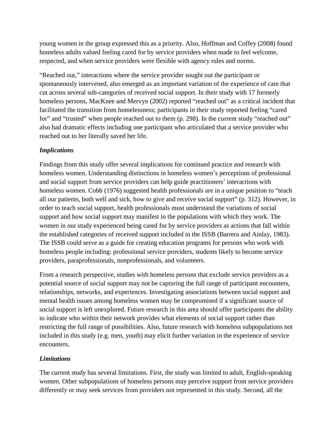young women in the group expressed this as a priority. Also, Hoffman and Coffey (2008) found homeless adults valued feeling cared for by service providers when made to feel welcome, respected, and when service providers were flexible with agency rules and norms.

"Reached out," interactions where the service provider sought out the participant or spontaneously intervened, also emerged as an important variation of the experience of care that cut across several sub-categories of received social support. In their study with 17 formerly homeless persons, MacKnee and Mervyn (2002) reported "reached out" as a critical incident that facilitated the transition from homelessness; participants in their study reported feeling "cared for" and "trusted" when people reached out to them (p. 298). In the current study "reached out" also had dramatic effects including one participant who articulated that a service provider who reached out to her literally saved her life.

# *Implications*

Findings from this study offer several implications for continued practice and research with homeless women. Understanding distinctions in homeless women's perceptions of professional and social support from service providers can help guide practitioners' interactions with homeless women. Cobb (1976) suggested health professionals are in a unique position to "teach all our patients, both well and sick, how to give and receive social support" (p. 312). However, in order to teach social support, health professionals must understand the variations of social support and how social support may manifest in the populations with which they work. The women in our study experienced being cared for by service providers as actions that fall within the established categories of received support included in the ISSB (Barrera and Ainlay, 1983). The ISSB could serve as a guide for creating education programs for persons who work with homeless people including: professional service providers, students likely to become service providers, paraprofessionals, nonprofessionals, and volunteers.

From a research perspective, studies with homeless persons that exclude service providers as a potential source of social support may not be capturing the full range of participant encounters, relationships, networks, and experiences. Investigating associations between social support and mental health issues among homeless women may be compromised if a significant source of social support is left unexplored. Future research in this area should offer participants the ability to indicate who within their network provides what elements of social support rather than restricting the full range of possibilities. Also, future research with homeless subpopulations not included in this study (e.g. men, youth) may elicit further variation in the experience of service encounters.

### *Limitations*

The current study has several limitations. First, the study was limited to adult, English-speaking women. Other subpopulations of homeless persons may perceive support from service providers differently or may seek services from providers not represented in this study. Second, all the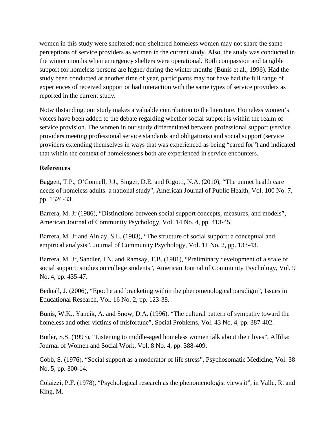women in this study were sheltered; non-sheltered homeless women may not share the same perceptions of service providers as women in the current study. Also, the study was conducted in the winter months when emergency shelters were operational. Both compassion and tangible support for homeless persons are higher during the winter months (Bunis et al., 1996). Had the study been conducted at another time of year, participants may not have had the full range of experiences of received support or had interaction with the same types of service providers as reported in the current study.

Notwithstanding, our study makes a valuable contribution to the literature. Homeless women's voices have been added to the debate regarding whether social support is within the realm of service provision. The women in our study differentiated between professional support (service providers meeting professional service standards and obligations) and social support (service providers extending themselves in ways that was experienced as being "cared for") and indicated that within the context of homelessness both are experienced in service encounters.

### **References**

Baggett, T.P., O'Connell, J.J., Singer, D.E. and Rigotti, N.A. (2010), "The unmet health care needs of homeless adults: a national study", American Journal of Public Health, Vol. 100 No. 7, pp. 1326-33.

Barrera, M. Jr (1986), "Distinctions between social support concepts, measures, and models", American Journal of Community Psychology, Vol. 14 No. 4, pp. 413-45.

Barrera, M. Jr and Ainlay, S.L. (1983), "The structure of social support: a conceptual and empirical analysis", Journal of Community Psychology, Vol. 11 No. 2, pp. 133-43.

Barrera, M. Jr, Sandler, I.N. and Ramsay, T.B. (1981), "Preliminary development of a scale of social support: studies on college students", American Journal of Community Psychology, Vol. 9 No. 4, pp. 435-47.

Bednall, J. (2006), "Epoche and bracketing within the phenomenological paradigm", Issues in Educational Research, Vol. 16 No. 2, pp. 123-38.

Bunis, W.K., Yancik, A. and Snow, D.A. (1996), "The cultural pattern of sympathy toward the homeless and other victims of misfortune", Social Problems, Vol. 43 No. 4, pp. 387-402.

Butler, S.S. (1993), "Listening to middle-aged homeless women talk about their lives", Affilia: Journal of Women and Social Work, Vol. 8 No. 4, pp. 388-409.

Cobb, S. (1976), "Social support as a moderator of life stress", Psychosomatic Medicine, Vol. 38 No. 5, pp. 300-14.

Colaizzi, P.F. (1978), "Psychological research as the phenomenologist views it", in Valle, R. and King, M.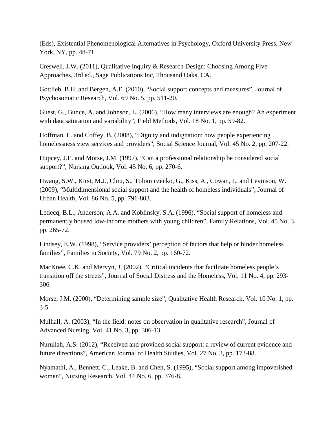(Eds), Existential Phenomenological Alternatives in Psychology, Oxford University Press, New York, NY, pp. 48-71.

Creswell, J.W. (2011), Qualitative Inquiry & Research Design: Choosing Among Five Approaches, 3rd ed., Sage Publications Inc, Thousand Oaks, CA.

Gottlieb, B.H. and Bergen, A.E. (2010), "Social support concepts and measures", Journal of Psychosomatic Research, Vol. 69 No. 5, pp. 511-20.

Guest, G., Bunce, A. and Johnson, L. (2006), "How many interviews are enough? An experiment with data saturation and variability", Field Methods, Vol. 18 No. 1, pp. 59-82.

Hoffman, L. and Coffey, B. (2008), "Dignity and indignation: how people experiencing homelessness view services and providers", Social Science Journal, Vol. 45 No. 2, pp. 207-22.

Hupcey, J.E. and Morse, J.M. (1997), "Can a professional relationship be considered social support?", Nursing Outlook, Vol. 45 No. 6, pp. 270-6.

Hwang, S.W., Kirst, M.J., Chiu, S., Tolomiczenko, G., Kiss, A., Cowan, L. and Levinson, W. (2009), "Multidimensional social support and the health of homeless individuals", Journal of Urban Health, Vol. 86 No. 5, pp. 791-803.

Letiecq, B.L., Anderson, A.A. and Koblinsky, S.A. (1996), "Social support of homeless and permanently housed low-income mothers with young children", Family Relations, Vol. 45 No. 3, pp. 265-72.

Lindsey, E.W. (1998), "Service providers' perception of factors that help or hinder homeless families", Families in Society, Vol. 79 No. 2, pp. 160-72.

MacKnee, C.K. and Mervyn, J. (2002), "Critical incidents that facilitate homeless people's transition off the streets", Journal of Social Distress and the Homeless, Vol. 11 No. 4, pp. 293- 306.

Morse, J.M. (2000), "Determining sample size", Qualitative Health Research, Vol. 10 No. 1, pp.  $3 - 5$ .

Mulhall, A. (2003), "In the field: notes on observation in qualitative research", Journal of Advanced Nursing, Vol. 41 No. 3, pp. 306-13.

Nurullah, A.S. (2012), "Received and provided social support: a review of current evidence and future directions", American Journal of Health Studies, Vol. 27 No. 3, pp. 173-88.

Nyamathi, A., Bennett, C., Leake, B. and Chen, S. (1995), "Social support among impoverished women", Nursing Research, Vol. 44 No. 6, pp. 376-8.